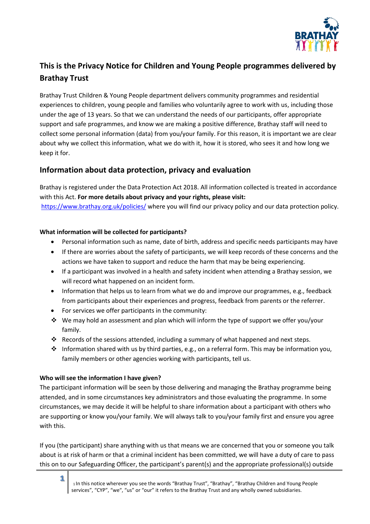

# **This is the Privacy Notice for Children and Young People programmes delivered by Brathay Trust**

Brathay Trust Children & Young People department delivers community programmes and residential experiences to children, young people and families who voluntarily agree to work with us, including those under the age of 13 years. So that we can understand the needs of our participants, offer appropriate support and safe programmes, and know we are making a positive difference, Brathay staff will need to collect some personal information (data) from you/your family. For this reason, it is important we are clear about why we collect this information, what we do with it, how it is stored, who sees it and how long we keep it for.

# **Information about data protection, privacy and evaluation**

Brathay is registered under the Data Protection Act 2018. All information collected is treated in accordance with this Act. **For more details about privacy and your rights, please visit:** <https://www.brathay.org.uk/policies/> where you will find our privacy policy and our data protection policy.

## **What information will be collected for participants?**

- Personal information such as name, date of birth, address and specific needs participants may have
- If there are worries about the safety of participants, we will keep records of these concerns and the actions we have taken to support and reduce the harm that may be being experiencing.
- If a participant was involved in a health and safety incident when attending a Brathay session, we will record what happened on an incident form.
- Information that helps us to learn from what we do and improve our programmes, e.g., feedback from participants about their experiences and progress, feedback from parents or the referrer.
- For services we offer participants in the community:
- $\dots$  We may hold an assessment and plan which will inform the type of support we offer you/your family.
- ❖ Records of the sessions attended, including a summary of what happened and next steps.
- ❖ Information shared with us by third parties, e.g., on a referral form. This may be information you, family members or other agencies working with participants, tell us.

# **Who will see the information I have given?**

The participant information will be seen by those delivering and managing the Brathay programme being attended, and in some circumstances key administrators and those evaluating the programme. In some circumstances, we may decide it will be helpful to share information about a participant with others who are supporting or know you/your family. We will always talk to you/your family first and ensure you agree with this.

If you (the participant) share anything with us that means we are concerned that you or someone you talk about is at risk of harm or that a criminal incident has been committed, we will have a duty of care to pass this on to our Safeguarding Officer, the participant's parent(s) and the appropriate professional(s) outside